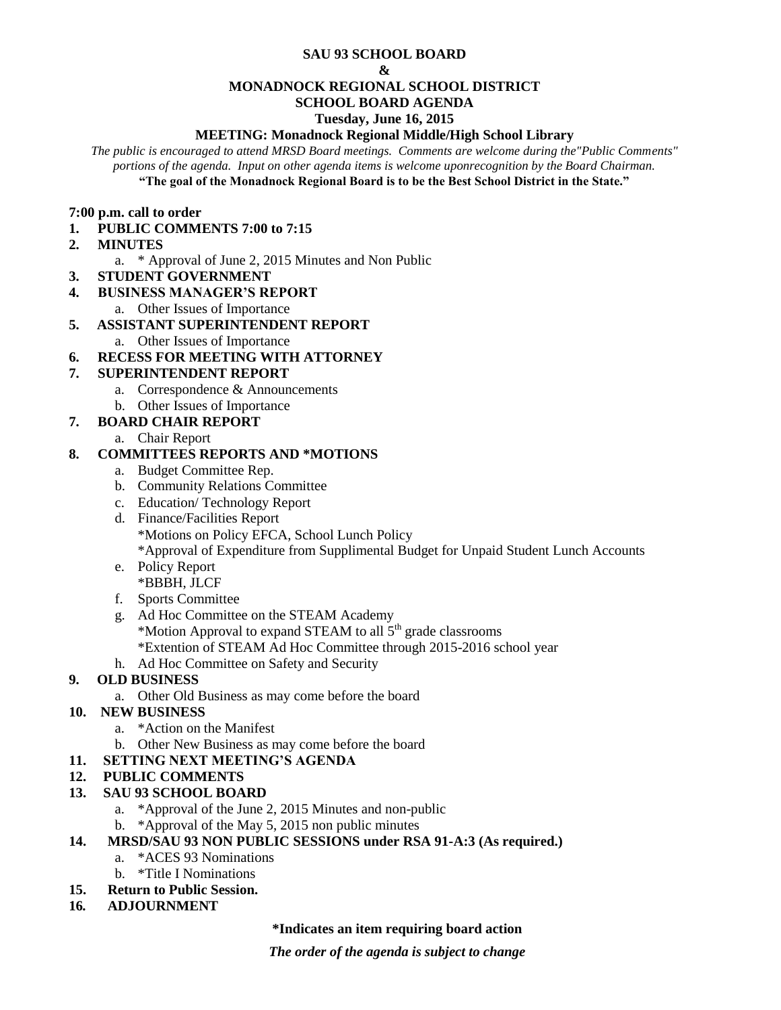#### **SAU 93 SCHOOL BOARD**

#### **&**

#### **MONADNOCK REGIONAL SCHOOL DISTRICT**

# **SCHOOL BOARD AGENDA**

#### **Tuesday, June 16, 2015**

#### **MEETING: Monadnock Regional Middle/High School Library**

*The public is encouraged to attend MRSD Board meetings. Comments are welcome during the"Public Comments" portions of the agenda. Input on other agenda items is welcome uponrecognition by the Board Chairman.* **"The goal of the Monadnock Regional Board is to be the Best School District in the State."**

#### **7:00 p.m. call to order**

- **1. PUBLIC COMMENTS 7:00 to 7:15**
- **2. MINUTES** 
	- a. \* Approval of June 2, 2015 Minutes and Non Public
- **3. STUDENT GOVERNMENT**
- **4. BUSINESS MANAGER'S REPORT** 
	- a. Other Issues of Importance

# **5. ASSISTANT SUPERINTENDENT REPORT**

a. Other Issues of Importance

# **6. RECESS FOR MEETING WITH ATTORNEY**

# **7. SUPERINTENDENT REPORT**

- a. Correspondence & Announcements
- b. Other Issues of Importance

# **7. BOARD CHAIR REPORT**

a. Chair Report

# **8. COMMITTEES REPORTS AND \*MOTIONS**

- a. Budget Committee Rep.
- b. Community Relations Committee
- c. Education/ Technology Report
- d. Finance/Facilities Report \*Motions on Policy EFCA, School Lunch Policy \*Approval of Expenditure from Supplimental Budget for Unpaid Student Lunch Accounts
- e. Policy Report \*BBBH, JLCF
- f. Sports Committee
- g. Ad Hoc Committee on the STEAM Academy \*Motion Approval to expand STEAM to all 5th grade classrooms \*Extention of STEAM Ad Hoc Committee through 2015-2016 school year
- h. Ad Hoc Committee on Safety and Security

# **9. OLD BUSINESS**

a. Other Old Business as may come before the board

# **10. NEW BUSINESS**

- a. \*Action on the Manifest
- b. Other New Business as may come before the board
- **11. SETTING NEXT MEETING'S AGENDA**

## **12. PUBLIC COMMENTS**

- **13. SAU 93 SCHOOL BOARD**
	- a. \*Approval of the June 2, 2015 Minutes and non-public
	- b. \*Approval of the May 5, 2015 non public minutes
- **14. MRSD/SAU 93 NON PUBLIC SESSIONS under RSA 91-A:3 (As required.)**
	- a. \*ACES 93 Nominations
	- b. \*Title I Nominations
- **15. Return to Public Session.**
- **16***.* **ADJOURNMENT**

## **\*Indicates an item requiring board action**

*The order of the agenda is subject to change*